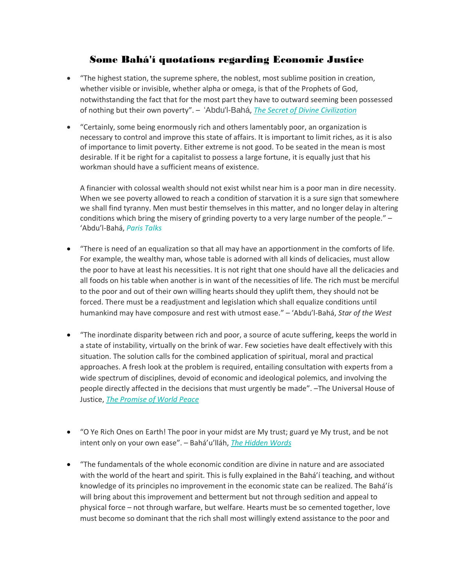## Some Bahá'í quotations regarding Economic Justice

- "The highest station, the supreme sphere, the noblest, most sublime position in creation, whether visible or invisible, whether alpha or omega, is that of the Prophets of God, notwithstanding the fact that for the most part they have to outward seeming been possessed of nothing but their own poverty". – ʻAbdu'l-Bahá, *The Secret of Divine [Civilization](https://www.bahai.org/library/authoritative-texts/abdul-baha/secret-divine-civilization/2#837219149)*
- "Certainly, some being enormously rich and others lamentably poor, an organization is necessary to control and improve this state of affairs. It is important to limit riches, as it is also of importance to limit poverty. Either extreme is not good. To be seated in the mean is most desirable. If it be right for a capitalist to possess a large fortune, it is equally just that his workman should have a sufficient means of existence.

A financier with colossal wealth should not exist whilst near him is a poor man in dire necessity. When we see poverty allowed to reach a condition of starvation it is a sure sign that somewhere we shall find tyranny. Men must bestir themselves in this matter, and no longer delay in altering conditions which bring the misery of grinding poverty to a very large number of the people." – ʻAbdu'l-Bahá, *Paris [Talks](https://reference.bahai.org/en/t/ab/PT/pt-47.html)*

- "There is need of an equalization so that all may have an apportionment in the comforts of life. For example, the wealthy man, whose table is adorned with all kinds of delicacies, must allow the poor to have at least his necessities. It is not right that one should have all the delicacies and all foods on his table when another is in want of the necessities of life. The rich must be merciful to the poor and out of their own willing hearts should they uplift them, they should not be forced. There must be a readjustment and legislation which shall equalize conditions until humankind may have composure and rest with utmost ease." – ʻAbdu'l-Bahá, *Star of the West*
- "The inordinate disparity between rich and poor, a source of acute suffering, keeps the world in a state of instability, virtually on the brink of war. Few societies have dealt effectively with this situation. The solution calls for the combined application of spiritual, moral and practical approaches. A fresh look at the problem is required, entailing consultation with experts from a wide spectrum of disciplines, devoid of economic and ideological polemics, and involving the people directly affected in the decisions that must urgently be made". –The Universal House of Justice, *The [Promise](https://reference.bahai.org/en/t/uhj/PWP/pwp-3.html) of World Peace*
- "O Ye Rich Ones on Earth! The poor in your midst are My trust; guard ye My trust, and be not intent only on your own ease". – Bahá'u'lláh, *The [Hidden](https://reference.bahai.org/en/t/b/HW/hw-127.html) Words*
- "The fundamentals of the whole economic condition are divine in nature and are associated with the world of the heart and spirit. This is fully explained in the Bahá'í teaching, and without knowledge of its principles no improvement in the economic state can be realized. The Bahá'ís will bring about this improvement and betterment but not through sedition and appeal to physical force – not through warfare, but welfare. Hearts must be so cemented together, love must become so dominant that the rich shall most willingly extend assistance to the poor and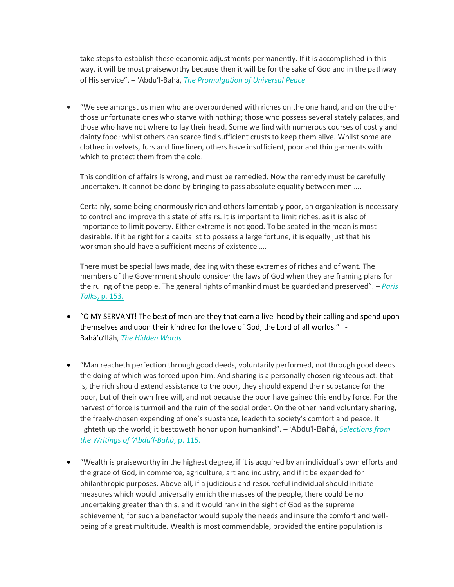take steps to establish these economic adjustments permanently. If it is accomplished in this way, it will be most praiseworthy because then it will be for the sake of God and in the pathway of His service". – ʻAbdu'l-Bahá, *The [Promulgation](https://reference.bahai.org/en/t/ab/PUP/pup-84.html) of Universal Peace*

• "We see amongst us men who are overburdened with riches on the one hand, and on the other those unfortunate ones who starve with nothing; those who possess several stately palaces, and those who have not where to lay their head. Some we find with numerous courses of costly and dainty food; whilst others can scarce find sufficient crusts to keep them alive. Whilst some are clothed in velvets, furs and fine linen, others have insufficient, poor and thin garments with which to protect them from the cold.

This condition of affairs is wrong, and must be remedied. Now the remedy must be carefully undertaken. It cannot be done by bringing to pass absolute equality between men ….

Certainly, some being enormously rich and others lamentably poor, an organization is necessary to control and improve this state of affairs. It is important to limit riches, as it is also of importance to limit poverty. Either extreme is not good. To be seated in the mean is most desirable. If it be right for a capitalist to possess a large fortune, it is equally just that his workman should have a sufficient means of existence ….

There must be special laws made, dealing with these extremes of riches and of want. The members of the Government should consider the laws of God when they are framing plans for the ruling of the people. The general rights of mankind must be guarded and preserved". – *[Paris](http://reference.bahai.org/en/t/ab/PT/pt-47.html) [Talks](http://reference.bahai.org/en/t/ab/PT/pt-47.html)*, p. 153.

- "O MY SERVANT! The best of men are they that earn a livelihood by their calling and spend upon themselves and upon their kindred for the love of God, the Lord of all worlds." - Bahá'u'lláh, *The [Hidden](https://reference.bahai.org/en/t/b/HW/hw-127.html) Words*
- "Man reacheth perfection through good deeds, voluntarily performed, not through good deeds the doing of which was forced upon him. And sharing is a personally chosen righteous act: that is, the rich should extend assistance to the poor, they should expend their substance for the poor, but of their own free will, and not because the poor have gained this end by force. For the harvest of force is turmoil and the ruin of the social order. On the other hand voluntary sharing, the freely-chosen expending of one's substance, leadeth to society's comfort and peace. It lighteth up the world; it bestoweth honor upon humankind". – ʻAbdu'l-Bahá, *[Selections](http://reference.bahai.org/en/t/ab/SAB/sab-80.html) from the [Writings](http://reference.bahai.org/en/t/ab/SAB/sab-80.html) of ʻAbdu'l-Bahá*, p. 115.
- "Wealth is praiseworthy in the highest degree, if it is acquired by an individual's own efforts and the grace of God, in commerce, agriculture, art and industry, and if it be expended for philanthropic purposes. Above all, if a judicious and resourceful individual should initiate measures which would universally enrich the masses of the people, there could be no undertaking greater than this, and it would rank in the sight of God as the supreme achievement, for such a benefactor would supply the needs and insure the comfort and wellbeing of a great multitude. Wealth is most commendable, provided the entire population is